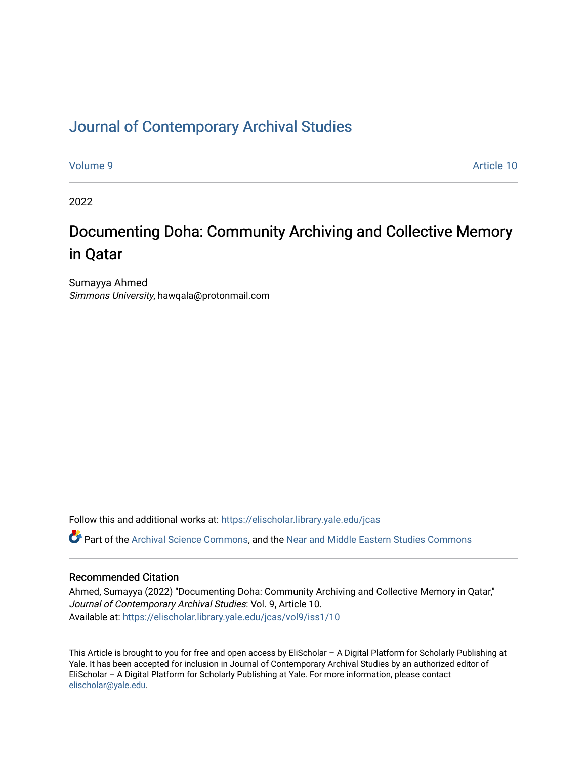# [Journal of Contemporary Archival Studies](https://elischolar.library.yale.edu/jcas)

[Volume 9](https://elischolar.library.yale.edu/jcas/vol9) Article 10

2022

# Documenting Doha: Community Archiving and Collective Memory in Qatar

Sumayya Ahmed Simmons University, hawqala@protonmail.com

Follow this and additional works at: [https://elischolar.library.yale.edu/jcas](https://elischolar.library.yale.edu/jcas?utm_source=elischolar.library.yale.edu%2Fjcas%2Fvol9%2Fiss1%2F10&utm_medium=PDF&utm_campaign=PDFCoverPages) 

Part of the [Archival Science Commons,](https://network.bepress.com/hgg/discipline/1021?utm_source=elischolar.library.yale.edu%2Fjcas%2Fvol9%2Fiss1%2F10&utm_medium=PDF&utm_campaign=PDFCoverPages) and the [Near and Middle Eastern Studies Commons](https://network.bepress.com/hgg/discipline/1308?utm_source=elischolar.library.yale.edu%2Fjcas%2Fvol9%2Fiss1%2F10&utm_medium=PDF&utm_campaign=PDFCoverPages)

#### Recommended Citation

Ahmed, Sumayya (2022) "Documenting Doha: Community Archiving and Collective Memory in Qatar," Journal of Contemporary Archival Studies: Vol. 9, Article 10. Available at: [https://elischolar.library.yale.edu/jcas/vol9/iss1/10](https://elischolar.library.yale.edu/jcas/vol9/iss1/10?utm_source=elischolar.library.yale.edu%2Fjcas%2Fvol9%2Fiss1%2F10&utm_medium=PDF&utm_campaign=PDFCoverPages) 

This Article is brought to you for free and open access by EliScholar – A Digital Platform for Scholarly Publishing at Yale. It has been accepted for inclusion in Journal of Contemporary Archival Studies by an authorized editor of EliScholar – A Digital Platform for Scholarly Publishing at Yale. For more information, please contact [elischolar@yale.edu.](mailto:elischolar@yale.edu)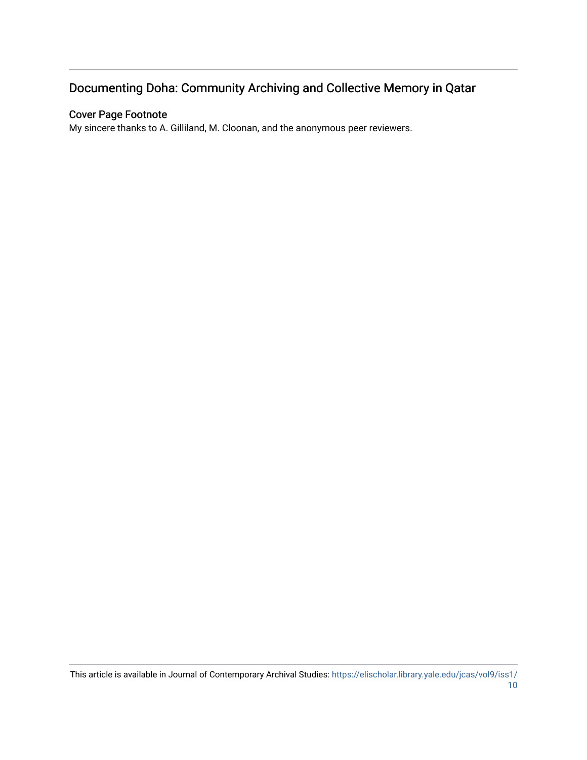# Documenting Doha: Community Archiving and Collective Memory in Qatar

# Cover Page Footnote

My sincere thanks to A. Gilliland, M. Cloonan, and the anonymous peer reviewers.

This article is available in Journal of Contemporary Archival Studies: [https://elischolar.library.yale.edu/jcas/vol9/iss1/](https://elischolar.library.yale.edu/jcas/vol9/iss1/10) [10](https://elischolar.library.yale.edu/jcas/vol9/iss1/10)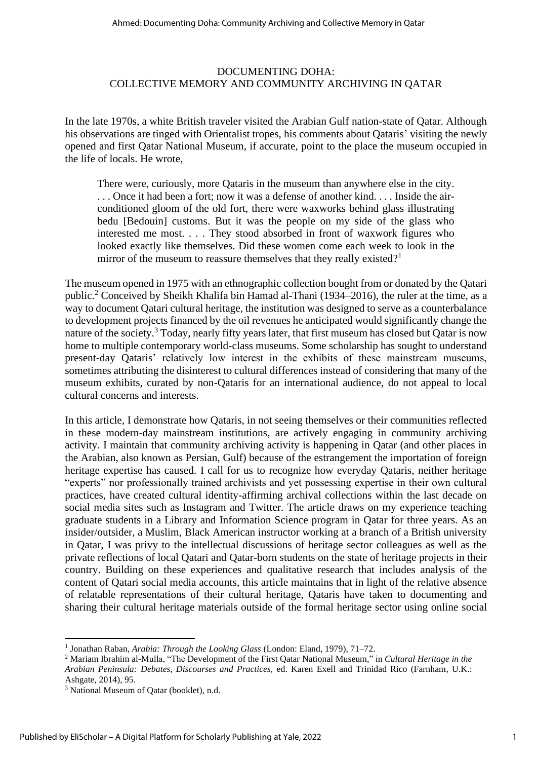# DOCUMENTING DOHA: COLLECTIVE MEMORY AND COMMUNITY ARCHIVING IN QATAR

In the late 1970s, a white British traveler visited the Arabian Gulf nation-state of Qatar. Although his observations are tinged with Orientalist tropes, his comments about Qataris' visiting the newly opened and first Qatar National Museum, if accurate, point to the place the museum occupied in the life of locals. He wrote,

There were, curiously, more Qataris in the museum than anywhere else in the city. . . . Once it had been a fort; now it was a defense of another kind. . . . Inside the airconditioned gloom of the old fort, there were waxworks behind glass illustrating bedu [Bedouin] customs. But it was the people on my side of the glass who interested me most. . . . They stood absorbed in front of waxwork figures who looked exactly like themselves. Did these women come each week to look in the mirror of the museum to reassure themselves that they really existed?<sup>1</sup>

The museum opened in 1975 with an ethnographic collection bought from or donated by the Qatari public.<sup>2</sup> Conceived by Sheikh Khalifa bin Hamad al-Thani (1934–2016), the ruler at the time, as a way to document Qatari cultural heritage, the institution was designed to serve as a counterbalance to development projects financed by the oil revenues he anticipated would significantly change the nature of the society.<sup>3</sup> Today, nearly fifty years later, that first museum has closed but Qatar is now home to multiple contemporary world-class museums. Some scholarship has sought to understand present-day Qataris' relatively low interest in the exhibits of these mainstream museums, sometimes attributing the disinterest to cultural differences instead of considering that many of the museum exhibits, curated by non-Qataris for an international audience, do not appeal to local cultural concerns and interests.

In this article, I demonstrate how Qataris, in not seeing themselves or their communities reflected in these modern-day mainstream institutions, are actively engaging in community archiving activity. I maintain that community archiving activity is happening in Qatar (and other places in the Arabian, also known as Persian, Gulf) because of the estrangement the importation of foreign heritage expertise has caused. I call for us to recognize how everyday Qataris, neither heritage "experts" nor professionally trained archivists and yet possessing expertise in their own cultural practices, have created cultural identity-affirming archival collections within the last decade on social media sites such as Instagram and Twitter. The article draws on my experience teaching graduate students in a Library and Information Science program in Qatar for three years. As an insider/outsider, a Muslim, Black American instructor working at a branch of a British university in Qatar, I was privy to the intellectual discussions of heritage sector colleagues as well as the private reflections of local Qatari and Qatar-born students on the state of heritage projects in their country. Building on these experiences and qualitative research that includes analysis of the content of Qatari social media accounts, this article maintains that in light of the relative absence of relatable representations of their cultural heritage, Qataris have taken to documenting and sharing their cultural heritage materials outside of the formal heritage sector using online social

<sup>&</sup>lt;sup>1</sup> Jonathan Raban, *Arabia: Through the Looking Glass* (London: Eland, 1979), 71–72.

<sup>2</sup> Mariam Ibrahim al-Mulla, "The Development of the First Qatar National Museum," in *Cultural Heritage in the Arabian Peninsula: Debates, Discourses and Practices,* ed. Karen Exell and Trinidad Rico (Farnham, U.K.: Ashgate, 2014), 95.

<sup>&</sup>lt;sup>3</sup> National Museum of Qatar (booklet), n.d.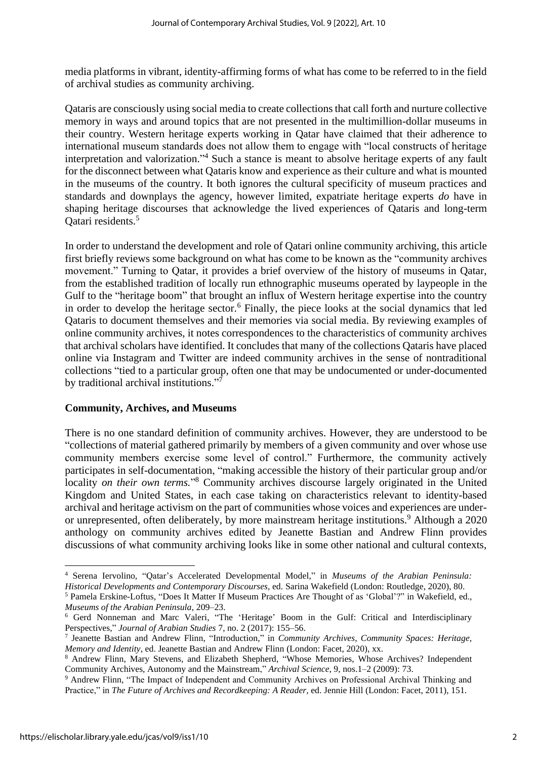media platforms in vibrant, identity-affirming forms of what has come to be referred to in the field of archival studies as community archiving.

Qataris are consciously using social media to create collections that call forth and nurture collective memory in ways and around topics that are not presented in the multimillion-dollar museums in their country. Western heritage experts working in Qatar have claimed that their adherence to international museum standards does not allow them to engage with "local constructs of heritage interpretation and valorization."<sup>4</sup> Such a stance is meant to absolve heritage experts of any fault for the disconnect between what Qataris know and experience as their culture and what is mounted in the museums of the country. It both ignores the cultural specificity of museum practices and standards and downplays the agency, however limited, expatriate heritage experts *do* have in shaping heritage discourses that acknowledge the lived experiences of Qataris and long-term Qatari residents.<sup>5</sup>

In order to understand the development and role of Qatari online community archiving, this article first briefly reviews some background on what has come to be known as the "community archives movement." Turning to Qatar, it provides a brief overview of the history of museums in Qatar, from the established tradition of locally run ethnographic museums operated by laypeople in the Gulf to the "heritage boom" that brought an influx of Western heritage expertise into the country in order to develop the heritage sector.<sup>6</sup> Finally, the piece looks at the social dynamics that led Qataris to document themselves and their memories via social media. By reviewing examples of online community archives, it notes correspondences to the characteristics of community archives that archival scholars have identified. It concludes that many of the collections Qataris have placed online via Instagram and Twitter are indeed community archives in the sense of nontraditional collections "tied to a particular group, often one that may be undocumented or under-documented by traditional archival institutions."7

# **Community, Archives, and Museums**

There is no one standard definition of community archives. However, they are understood to be "collections of material gathered primarily by members of a given community and over whose use community members exercise some level of control." Furthermore, the community actively participates in self-documentation, "making accessible the history of their particular group and/or locality *on their own terms.*"<sup>8</sup> Community archives discourse largely originated in the United Kingdom and United States, in each case taking on characteristics relevant to identity-based archival and heritage activism on the part of communities whose voices and experiences are underor unrepresented, often deliberately, by more mainstream heritage institutions. <sup>9</sup> Although a 2020 anthology on community archives edited by Jeanette Bastian and Andrew Flinn provides discussions of what community archiving looks like in some other national and cultural contexts,

<sup>4</sup> Serena Iervolino, "Qatar's Accelerated Developmental Model," in *Museums of the Arabian Peninsula: Historical Developments and Contemporary Discourses*, ed. Sarina Wakefield (London: Routledge, 2020), 80. <sup>5</sup> Pamela Erskine-Loftus, "Does It Matter If Museum Practices Are Thought of as 'Global'?" in Wakefield, ed.,

*Museums of the Arabian Peninsula*, 209–23.

<sup>6</sup> Gerd Nonneman and Marc Valeri, "The 'Heritage' Boom in the Gulf: Critical and Interdisciplinary Perspectives," *Journal of Arabian Studies* 7, no. 2 (2017): 155–56.

<sup>7</sup> Jeanette Bastian and Andrew Flinn, "Introduction," in *Community Archives, Community Spaces: Heritage, Memory and Identity*, ed. Jeanette Bastian and Andrew Flinn (London: Facet, 2020), xx.

<sup>8</sup> Andrew Flinn, Mary Stevens, and Elizabeth Shepherd, "Whose Memories, Whose Archives? Independent Community Archives, Autonomy and the Mainstream," *Archival Science*, 9, nos.1–2 (2009): 73.

<sup>9</sup> Andrew Flinn, "The Impact of Independent and Community Archives on Professional Archival Thinking and Practice," in *The Future of Archives and Recordkeeping: A Reader,* ed. Jennie Hill (London: Facet, 2011), 151.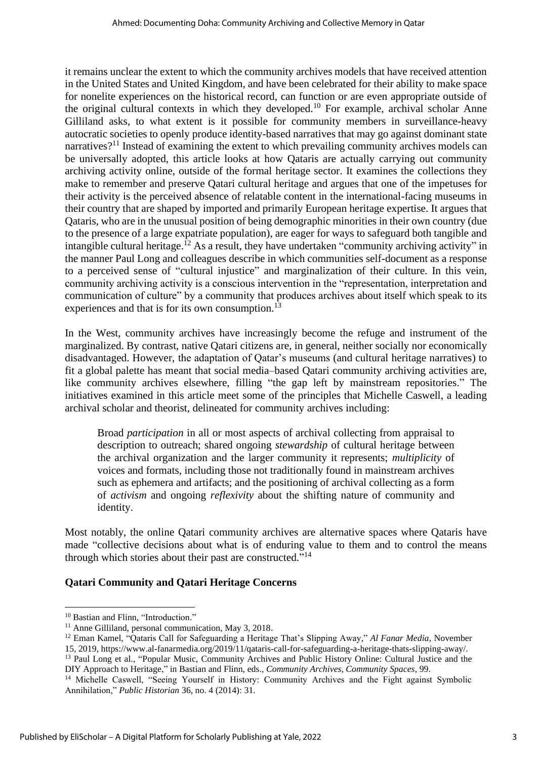it remains unclear the extent to which the community archives models that have received attention in the United States and United Kingdom, and have been celebrated for their ability to make space for nonelite experiences on the historical record, can function or are even appropriate outside of the original cultural contexts in which they developed.<sup>10</sup> For example, archival scholar Anne Gilliland asks, to what extent is it possible for community members in surveillance-heavy autocratic societies to openly produce identity-based narratives that may go against dominant state narratives?<sup>11</sup> Instead of examining the extent to which prevailing community archives models can be universally adopted, this article looks at how Qataris are actually carrying out community archiving activity online, outside of the formal heritage sector. It examines the collections they make to remember and preserve Qatari cultural heritage and argues that one of the impetuses for their activity is the perceived absence of relatable content in the international-facing museums in their country that are shaped by imported and primarily European heritage expertise. It argues that Qataris, who are in the unusual position of being demographic minorities in their own country (due to the presence of a large expatriate population), are eager for ways to safeguard both tangible and intangible cultural heritage.<sup>12</sup> As a result, they have undertaken "community archiving activity" in the manner Paul Long and colleagues describe in which communities self-document as a response to a perceived sense of "cultural injustice" and marginalization of their culture. In this vein, community archiving activity is a conscious intervention in the "representation, interpretation and communication of culture" by a community that produces archives about itself which speak to its experiences and that is for its own consumption.<sup>13</sup>

In the West, community archives have increasingly become the refuge and instrument of the marginalized. By contrast, native Qatari citizens are, in general, neither socially nor economically disadvantaged. However, the adaptation of Qatar's museums (and cultural heritage narratives) to fit a global palette has meant that social media–based Qatari community archiving activities are, like community archives elsewhere, filling "the gap left by mainstream repositories." The initiatives examined in this article meet some of the principles that Michelle Caswell, a leading archival scholar and theorist, delineated for community archives including:

Broad *participation* in all or most aspects of archival collecting from appraisal to description to outreach; shared ongoing *stewardship* of cultural heritage between the archival organization and the larger community it represents; *multiplicity* of voices and formats, including those not traditionally found in mainstream archives such as ephemera and artifacts; and the positioning of archival collecting as a form of *activism* and ongoing *reflexivity* about the shifting nature of community and identity.

Most notably, the online Qatari community archives are alternative spaces where Qataris have made "collective decisions about what is of enduring value to them and to control the means through which stories about their past are constructed."<sup>14</sup>

# **Qatari Community and Qatari Heritage Concerns**

<sup>13</sup> Paul Long et al., "Popular Music, Community Archives and Public History Online: Cultural Justice and the DIY Approach to Heritage," in Bastian and Flinn, eds., *Community Archives, Community Spaces*, 99.

<sup>&</sup>lt;sup>10</sup> Bastian and Flinn, "Introduction."

<sup>&</sup>lt;sup>11</sup> Anne Gilliland, personal communication, May 3, 2018.

<sup>12</sup> Eman Kamel, "Qataris Call for Safeguarding a Heritage That's Slipping Away," *Al Fanar Media*, November 15, 2019, https://www.al-fanarmedia.org/2019/11/qataris-call-for-safeguarding-a-heritage-thats-slipping-away/.

<sup>&</sup>lt;sup>14</sup> Michelle Caswell, "Seeing Yourself in History: Community Archives and the Fight against Symbolic Annihilation," *Public Historian* 36, no. 4 (2014): 31.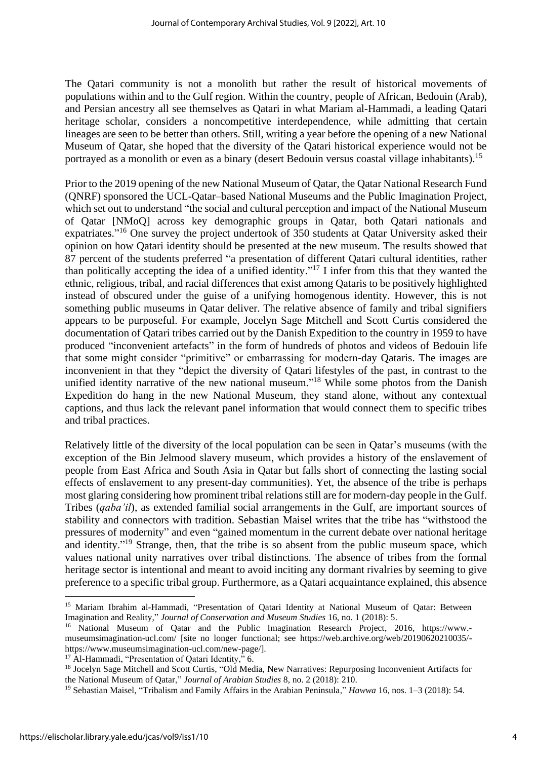The Qatari community is not a monolith but rather the result of historical movements of populations within and to the Gulf region. Within the country, people of African, Bedouin (Arab), and Persian ancestry all see themselves as Qatari in what Mariam al-Hammadi, a leading Qatari heritage scholar, considers a noncompetitive interdependence, while admitting that certain lineages are seen to be better than others. Still, writing a year before the opening of a new National Museum of Qatar, she hoped that the diversity of the Qatari historical experience would not be portrayed as a monolith or even as a binary (desert Bedouin versus coastal village inhabitants).<sup>15</sup>

Prior to the 2019 opening of the new National Museum of Qatar, the Qatar National Research Fund (QNRF) sponsored the UCL-Qatar–based National Museums and the Public Imagination Project, which set out to understand "the social and cultural perception and impact of the National Museum of Qatar [NMoQ] across key demographic groups in Qatar, both Qatari nationals and expatriates."<sup>16</sup> One survey the project undertook of 350 students at Qatar University asked their opinion on how Qatari identity should be presented at the new museum. The results showed that 87 percent of the students preferred "a presentation of different Qatari cultural identities, rather than politically accepting the idea of a unified identity."<sup>17</sup> I infer from this that they wanted the ethnic, religious, tribal, and racial differences that exist among Qataris to be positively highlighted instead of obscured under the guise of a unifying homogenous identity. However, this is not something public museums in Qatar deliver. The relative absence of family and tribal signifiers appears to be purposeful. For example, Jocelyn Sage Mitchell and Scott Curtis considered the documentation of Qatari tribes carried out by the Danish Expedition to the country in 1959 to have produced "inconvenient artefacts" in the form of hundreds of photos and videos of Bedouin life that some might consider "primitive" or embarrassing for modern-day Qataris. The images are inconvenient in that they "depict the diversity of Qatari lifestyles of the past, in contrast to the unified identity narrative of the new national museum."<sup>18</sup> While some photos from the Danish Expedition do hang in the new National Museum, they stand alone, without any contextual captions, and thus lack the relevant panel information that would connect them to specific tribes and tribal practices.

Relatively little of the diversity of the local population can be seen in Qatar's museums (with the exception of the Bin Jelmood slavery museum, which provides a history of the enslavement of people from East Africa and South Asia in Qatar but falls short of connecting the lasting social effects of enslavement to any present-day communities). Yet, the absence of the tribe is perhaps most glaring considering how prominent tribal relations still are for modern-day people in the Gulf. Tribes (*qaba'il*), as extended familial social arrangements in the Gulf, are important sources of stability and connectors with tradition. Sebastian Maisel writes that the tribe has "withstood the pressures of modernity" and even "gained momentum in the current debate over national heritage and identity."<sup>19</sup> Strange, then, that the tribe is so absent from the public museum space, which values national unity narratives over tribal distinctions. The absence of tribes from the formal heritage sector is intentional and meant to avoid inciting any dormant rivalries by seeming to give preference to a specific tribal group. Furthermore, as a Qatari acquaintance explained, this absence

<sup>&</sup>lt;sup>15</sup> Mariam Ibrahim al-Hammadi, "Presentation of Qatari Identity at National Museum of Qatar: Between Imagination and Reality," *Journal of Conservation and Museum Studies* 16, no. 1 (2018): 5.

<sup>&</sup>lt;sup>16</sup> National Museum of Oatar and the Public Imagination Research Project, 2016, https://www.museumsimagination-ucl.com/ [site no longer functional; see https://web.archive.org/web/20190620210035/ https://www.museumsimagination-ucl.com/new-page/].

<sup>&</sup>lt;sup>17</sup> Al-Hammadi, "Presentation of Qatari Identity," 6.

<sup>18</sup> Jocelyn Sage Mitchell and Scott Curtis, "Old Media, New Narratives: Repurposing Inconvenient Artifacts for the National Museum of Qatar," *Journal of Arabian Studies* 8, no. 2 (2018): 210.

<sup>19</sup> Sebastian Maisel, "Tribalism and Family Affairs in the Arabian Peninsula," *Hawwa* 16, nos. 1–3 (2018): 54.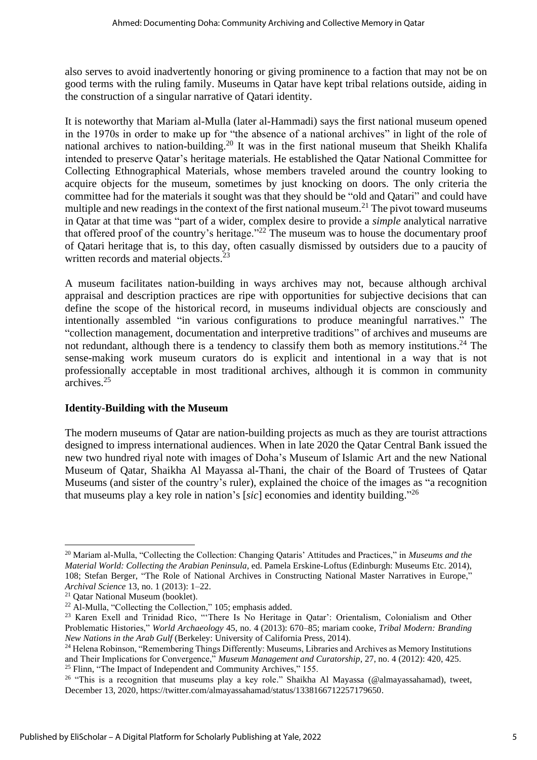also serves to avoid inadvertently honoring or giving prominence to a faction that may not be on good terms with the ruling family. Museums in Qatar have kept tribal relations outside, aiding in the construction of a singular narrative of Qatari identity.

It is noteworthy that Mariam al-Mulla (later al-Hammadi) says the first national museum opened in the 1970s in order to make up for "the absence of a national archives" in light of the role of national archives to nation-building.<sup>20</sup> It was in the first national museum that Sheikh Khalifa intended to preserve Qatar's heritage materials. He established the Qatar National Committee for Collecting Ethnographical Materials, whose members traveled around the country looking to acquire objects for the museum, sometimes by just knocking on doors. The only criteria the committee had for the materials it sought was that they should be "old and Qatari" and could have multiple and new readings in the context of the first national museum.<sup>21</sup> The pivot toward museums in Qatar at that time was "part of a wider, complex desire to provide a *simple* analytical narrative that offered proof of the country's heritage."<sup>22</sup> The museum was to house the documentary proof of Qatari heritage that is, to this day, often casually dismissed by outsiders due to a paucity of written records and material objects.<sup>23</sup>

A museum facilitates nation-building in ways archives may not, because although archival appraisal and description practices are ripe with opportunities for subjective decisions that can define the scope of the historical record, in museums individual objects are consciously and intentionally assembled "in various configurations to produce meaningful narratives." The "collection management, documentation and interpretive traditions" of archives and museums are not redundant, although there is a tendency to classify them both as memory institutions.<sup>24</sup> The sense-making work museum curators do is explicit and intentional in a way that is not professionally acceptable in most traditional archives, although it is common in community archives. 25

# **Identity-Building with the Museum**

The modern museums of Qatar are nation-building projects as much as they are tourist attractions designed to impress international audiences. When in late 2020 the Qatar Central Bank issued the new two hundred riyal note with images of Doha's Museum of Islamic Art and the new National Museum of Qatar, Shaikha Al Mayassa al-Thani, the chair of the Board of Trustees of Qatar Museums (and sister of the country's ruler), explained the choice of the images as "a recognition that museums play a key role in nation's [*sic*] economies and identity building." 26

<sup>20</sup> Mariam al-Mulla, "Collecting the Collection: Changing Qataris' Attitudes and Practices," in *Museums and the Material World: Collecting the Arabian Peninsula,* ed. Pamela Erskine-Loftus (Edinburgh: Museums Etc. 2014), 108; Stefan Berger, "The Role of National Archives in Constructing National Master Narratives in Europe," *Archival Science* 13, no. 1 (2013): 1–22.

<sup>&</sup>lt;sup>21</sup> Oatar National Museum (booklet).

<sup>&</sup>lt;sup>22</sup> Al-Mulla, "Collecting the Collection," 105; emphasis added.

<sup>&</sup>lt;sup>23</sup> Karen Exell and Trinidad Rico, "There Is No Heritage in Qatar': Orientalism, Colonialism and Other Problematic Histories," *World Archaeology* 45, no. 4 (2013): 670–85; mariam cooke, *Tribal Modern: Branding New Nations in the Arab Gulf* (Berkeley: University of California Press, 2014).

<sup>&</sup>lt;sup>24</sup> Helena Robinson, "Remembering Things Differently: Museums, Libraries and Archives as Memory Institutions and Their Implications for Convergence," *Museum Management and Curatorship*, 27, no. 4 (2012): 420, 425. <sup>25</sup> Flinn, "The Impact of Independent and Community Archives," 155.

<sup>&</sup>lt;sup>26</sup> "This is a recognition that museums play a key role." Shaikha Al Mayassa (@almayassahamad), tweet, December 13, 2020, https://twitter.com/almayassahamad/status/1338166712257179650.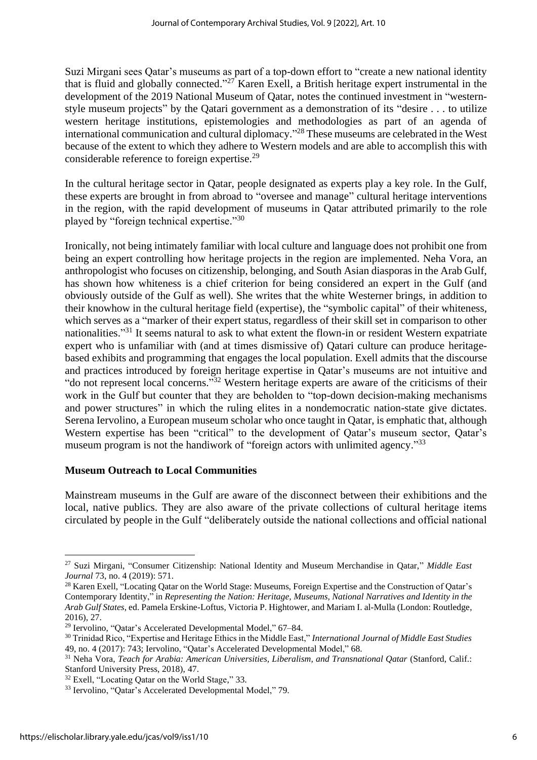Suzi Mirgani sees Qatar's museums as part of a top-down effort to "create a new national identity that is fluid and globally connected."<sup>27</sup> Karen Exell, a British heritage expert instrumental in the development of the 2019 National Museum of Oatar, notes the continued investment in "westernstyle museum projects" by the Qatari government as a demonstration of its "desire . . . to utilize western heritage institutions, epistemologies and methodologies as part of an agenda of international communication and cultural diplomacy."<sup>28</sup> These museums are celebrated in the West because of the extent to which they adhere to Western models and are able to accomplish this with considerable reference to foreign expertise.<sup>29</sup>

In the cultural heritage sector in Qatar, people designated as experts play a key role. In the Gulf, these experts are brought in from abroad to "oversee and manage" cultural heritage interventions in the region, with the rapid development of museums in Qatar attributed primarily to the role played by "foreign technical expertise."30

Ironically, not being intimately familiar with local culture and language does not prohibit one from being an expert controlling how heritage projects in the region are implemented. Neha Vora, an anthropologist who focuses on citizenship, belonging, and South Asian diasporas in the Arab Gulf, has shown how whiteness is a chief criterion for being considered an expert in the Gulf (and obviously outside of the Gulf as well). She writes that the white Westerner brings, in addition to their knowhow in the cultural heritage field (expertise), the "symbolic capital" of their whiteness, which serves as a "marker of their expert status, regardless of their skill set in comparison to other nationalities."<sup>31</sup> It seems natural to ask to what extent the flown-in or resident Western expatriate expert who is unfamiliar with (and at times dismissive of) Qatari culture can produce heritagebased exhibits and programming that engages the local population. Exell admits that the discourse and practices introduced by foreign heritage expertise in Qatar's museums are not intuitive and "do not represent local concerns."<sup>32</sup> Western heritage experts are aware of the criticisms of their work in the Gulf but counter that they are beholden to "top-down decision-making mechanisms and power structures" in which the ruling elites in a nondemocratic nation-state give dictates. Serena Iervolino, a European museum scholar who once taught in Qatar, is emphatic that, although Western expertise has been "critical" to the development of Qatar's museum sector, Qatar's museum program is not the handiwork of "foreign actors with unlimited agency."<sup>33</sup>

#### **Museum Outreach to Local Communities**

Mainstream museums in the Gulf are aware of the disconnect between their exhibitions and the local, native publics. They are also aware of the private collections of cultural heritage items circulated by people in the Gulf "deliberately outside the national collections and official national

<sup>27</sup> Suzi Mirgani, "Consumer Citizenship: National Identity and Museum Merchandise in Qatar," *Middle East Journal* 73, no. 4 (2019): 571.

<sup>&</sup>lt;sup>28</sup> Karen Exell, "Locating Qatar on the World Stage: Museums, Foreign Expertise and the Construction of Qatar's Contemporary Identity," in *Representing the Nation: Heritage, Museums, National Narratives and Identity in the Arab Gulf States*, ed. Pamela Erskine-Loftus, Victoria P. Hightower, and Mariam I. al-Mulla (London: Routledge, 2016), 27.

<sup>29</sup> Iervolino, "Qatar's Accelerated Developmental Model," 67–84.

<sup>30</sup> Trinidad Rico, "Expertise and Heritage Ethics in the Middle East," *International Journal of Middle East Studies* 49, no. 4 (2017): 743; Iervolino, "Qatar's Accelerated Developmental Model," 68.

<sup>&</sup>lt;sup>31</sup> Neha Vora, *Teach for Arabia: American Universities, Liberalism, and Transnational Qatar* (Stanford, Calif.: Stanford University Press, 2018), 47.

<sup>&</sup>lt;sup>32</sup> Exell, "Locating Qatar on the World Stage," 33.

<sup>33</sup> Iervolino, "Qatar's Accelerated Developmental Model," 79.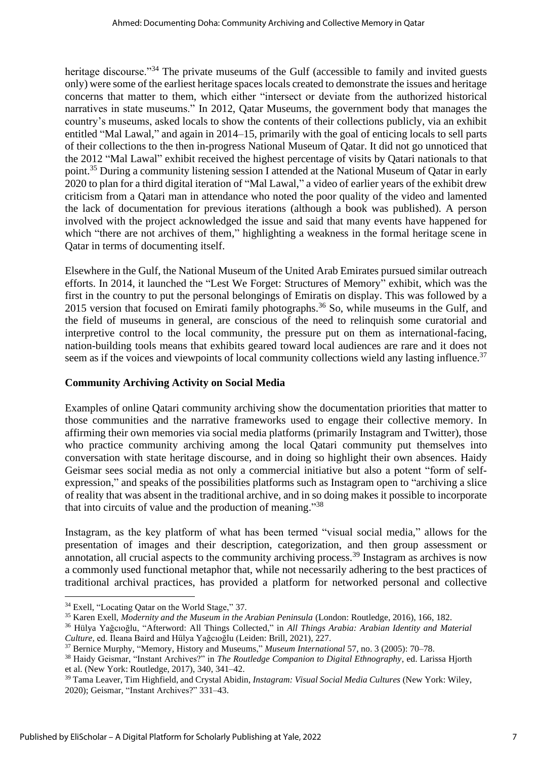heritage discourse."<sup>34</sup> The private museums of the Gulf (accessible to family and invited guests only) were some of the earliest heritage spaces locals created to demonstrate the issues and heritage concerns that matter to them, which either "intersect or deviate from the authorized historical narratives in state museums." In 2012, Qatar Museums, the government body that manages the country's museums, asked locals to show the contents of their collections publicly, via an exhibit entitled "Mal Lawal," and again in 2014–15, primarily with the goal of enticing locals to sell parts of their collections to the then in-progress National Museum of Qatar. It did not go unnoticed that the 2012 "Mal Lawal" exhibit received the highest percentage of visits by Qatari nationals to that point.<sup>35</sup> During a community listening session I attended at the National Museum of Qatar in early 2020 to plan for a third digital iteration of "Mal Lawal," a video of earlier years of the exhibit drew criticism from a Qatari man in attendance who noted the poor quality of the video and lamented the lack of documentation for previous iterations (although a book was published). A person involved with the project acknowledged the issue and said that many events have happened for which "there are not archives of them," highlighting a weakness in the formal heritage scene in Qatar in terms of documenting itself.

Elsewhere in the Gulf, the National Museum of the United Arab Emirates pursued similar outreach efforts. In 2014, it launched the "Lest We Forget: Structures of Memory" exhibit, which was the first in the country to put the personal belongings of Emiratis on display. This was followed by a 2015 version that focused on Emirati family photographs.<sup>36</sup> So, while museums in the Gulf, and the field of museums in general, are conscious of the need to relinquish some curatorial and interpretive control to the local community, the pressure put on them as international-facing, nation-building tools means that exhibits geared toward local audiences are rare and it does not seem as if the voices and viewpoints of local community collections wield any lasting influence.<sup>37</sup>

# **Community Archiving Activity on Social Media**

Examples of online Qatari community archiving show the documentation priorities that matter to those communities and the narrative frameworks used to engage their collective memory. In affirming their own memories via social media platforms (primarily Instagram and Twitter), those who practice community archiving among the local Qatari community put themselves into conversation with state heritage discourse, and in doing so highlight their own absences. Haidy Geismar sees social media as not only a commercial initiative but also a potent "form of selfexpression," and speaks of the possibilities platforms such as Instagram open to "archiving a slice of reality that was absent in the traditional archive, and in so doing makes it possible to incorporate that into circuits of value and the production of meaning."<sup>38</sup>

Instagram, as the key platform of what has been termed "visual social media," allows for the presentation of images and their description, categorization, and then group assessment or annotation, all crucial aspects to the community archiving process.<sup>39</sup> Instagram as archives is now a commonly used functional metaphor that, while not necessarily adhering to the best practices of traditional archival practices, has provided a platform for networked personal and collective

<sup>34</sup> Exell, "Locating Qatar on the World Stage," 37.

<sup>35</sup> Karen Exell, *Modernity and the Museum in the Arabian Peninsula* (London: Routledge, 2016), 166, 182.

<sup>36</sup> Hülya Yağcıoğlu, "Afterword: All Things Collected," in *All Things Arabia: Arabian Identity and Material Culture,* ed. Ileana Baird and Hülya Yağcıoğlu (Leiden: Brill, 2021), 227.

<sup>37</sup> Bernice Murphy, "Memory, History and Museums," *Museum International* 57, no. 3 (2005): 70–78.

<sup>38</sup> Haidy Geismar, "Instant Archives?" in *The Routledge Companion to Digital Ethnography*, ed. Larissa Hjorth et al. (New York: Routledge, 2017), 340, 341–42.

<sup>39</sup> Tama Leaver, Tim Highfield, and Crystal Abidin, *Instagram: Visual Social Media Cultures* (New York: Wiley, 2020); Geismar, "Instant Archives?" 331–43.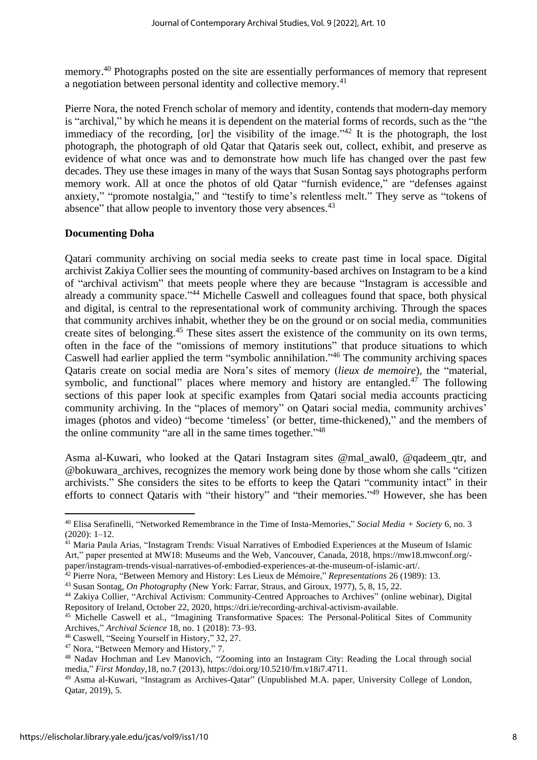memory.<sup>40</sup> Photographs posted on the site are essentially performances of memory that represent a negotiation between personal identity and collective memory.<sup>41</sup>

Pierre Nora, the noted French scholar of memory and identity, contends that modern-day memory is "archival," by which he means it is dependent on the material forms of records, such as the "the immediacy of the recording, [or] the visibility of the image." $42$  It is the photograph, the lost photograph, the photograph of old Qatar that Qataris seek out, collect, exhibit, and preserve as evidence of what once was and to demonstrate how much life has changed over the past few decades. They use these images in many of the ways that Susan Sontag says photographs perform memory work. All at once the photos of old Qatar "furnish evidence," are "defenses against anxiety," "promote nostalgia," and "testify to time's relentless melt." They serve as "tokens of absence" that allow people to inventory those very absences.<sup>43</sup>

#### **Documenting Doha**

Qatari community archiving on social media seeks to create past time in local space. Digital archivist Zakiya Collier sees the mounting of community-based archives on Instagram to be a kind of "archival activism" that meets people where they are because "Instagram is accessible and already a community space."<sup>44</sup> Michelle Caswell and colleagues found that space, both physical and digital, is central to the representational work of community archiving. Through the spaces that community archives inhabit, whether they be on the ground or on social media, communities create sites of belonging.<sup>45</sup> These sites assert the existence of the community on its own terms, often in the face of the "omissions of memory institutions" that produce situations to which Caswell had earlier applied the term "symbolic annihilation." <sup>46</sup> The community archiving spaces Qataris create on social media are Nora's sites of memory (*lieux de memoire*), the "material, symbolic, and functional" places where memory and history are entangled.<sup>47</sup> The following sections of this paper look at specific examples from Qatari social media accounts practicing community archiving. In the "places of memory" on Qatari social media, community archives' images (photos and video) "become 'timeless' (or better, time-thickened)," and the members of the online community "are all in the same times together." $48$ 

Asma al-Kuwari, who looked at the Qatari Instagram sites @mal\_awal0, @qadeem\_qtr, and @bokuwara\_archives, recognizes the memory work being done by those whom she calls "citizen archivists." She considers the sites to be efforts to keep the Qatari "community intact" in their efforts to connect Qataris with "their history" and "their memories."<sup>49</sup> However, she has been

<sup>40</sup> Elisa Serafinelli, "Networked Remembrance in the Time of Insta-Memories," *Social Media + Society* 6, no. 3 (2020): 1–12.

<sup>41</sup> Maria Paula Arias, "Instagram Trends: Visual Narratives of Embodied Experiences at the Museum of Islamic Art," paper presented at MW18: Museums and the Web, Vancouver, Canada, 2018, https://mw18.mwconf.org/ paper/instagram-trends-visual-narratives-of-embodied-experiences-at-the-museum-of-islamic-art/.

<sup>42</sup> Pierre Nora, "Between Memory and History: Les Lieux de Mémoire," *Representations* 26 (1989): 13.

<sup>43</sup> Susan Sontag, *On Photography* (New York: Farrar, Straus, and Giroux, 1977), 5, 8, 15, 22.

<sup>44</sup> Zakiya Collier, "Archival Activism: Community-Centred Approaches to Archives" (online webinar), Digital Repository of Ireland, October 22, 2020, https://dri.ie/recording-archival-activism-available.

<sup>45</sup> Michelle Caswell et al., "Imagining Transformative Spaces: The Personal-Political Sites of Community Archives," *Archival Science* 18, no. 1 (2018): 73–93.

<sup>46</sup> Caswell, "Seeing Yourself in History," 32, 27.

<sup>&</sup>lt;sup>47</sup> Nora, "Between Memory and History," 7.

<sup>48</sup> Nadav Hochman and Lev Manovich, "Zooming into an Instagram City: Reading the Local through social media," *First Monday*,18, no.7 (2013), https://doi.org/10.5210/fm.v18i7.4711.

<sup>49</sup> Asma al-Kuwari, "Instagram as Archives-Qatar" (Unpublished M.A. paper, University College of London, Qatar, 2019), 5.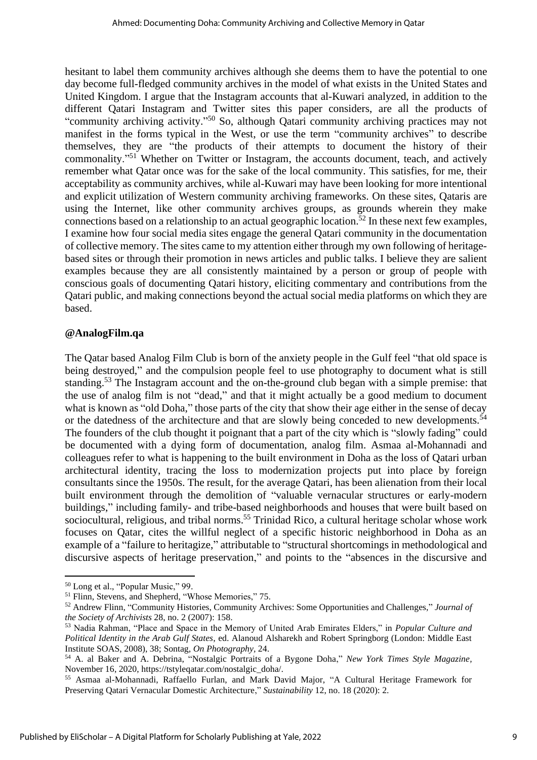hesitant to label them community archives although she deems them to have the potential to one day become full-fledged community archives in the model of what exists in the United States and United Kingdom. I argue that the Instagram accounts that al-Kuwari analyzed, in addition to the different Qatari Instagram and Twitter sites this paper considers, are all the products of "community archiving activity."<sup>50</sup> So, although Qatari community archiving practices may not manifest in the forms typical in the West, or use the term "community archives" to describe themselves, they are "the products of their attempts to document the history of their commonality."<sup>51</sup> Whether on Twitter or Instagram, the accounts document, teach, and actively remember what Qatar once was for the sake of the local community. This satisfies, for me, their acceptability as community archives, while al-Kuwari may have been looking for more intentional and explicit utilization of Western community archiving frameworks. On these sites, Qataris are using the Internet, like other community archives groups, as grounds wherein they make connections based on a relationship to an actual geographic location.<sup>52</sup> In these next few examples. I examine how four social media sites engage the general Qatari community in the documentation of collective memory. The sites came to my attention either through my own following of heritagebased sites or through their promotion in news articles and public talks. I believe they are salient examples because they are all consistently maintained by a person or group of people with conscious goals of documenting Qatari history, eliciting commentary and contributions from the Qatari public, and making connections beyond the actual social media platforms on which they are based.

## **@AnalogFilm.qa**

The Qatar based Analog Film Club is born of the anxiety people in the Gulf feel "that old space is being destroyed," and the compulsion people feel to use photography to document what is still standing.<sup>53</sup> The Instagram account and the on-the-ground club began with a simple premise: that the use of analog film is not "dead," and that it might actually be a good medium to document what is known as "old Doha," those parts of the city that show their age either in the sense of decay or the datedness of the architecture and that are slowly being conceded to new developments.<sup>54</sup> The founders of the club thought it poignant that a part of the city which is "slowly fading" could be documented with a dying form of documentation, analog film. Asmaa al-Mohannadi and colleagues refer to what is happening to the built environment in Doha as the loss of Qatari urban architectural identity, tracing the loss to modernization projects put into place by foreign consultants since the 1950s. The result, for the average Qatari, has been alienation from their local built environment through the demolition of "valuable vernacular structures or early-modern buildings," including family- and tribe-based neighborhoods and houses that were built based on sociocultural, religious, and tribal norms.<sup>55</sup> Trinidad Rico, a cultural heritage scholar whose work focuses on Qatar, cites the willful neglect of a specific historic neighborhood in Doha as an example of a "failure to heritagize," attributable to "structural shortcomings in methodological and discursive aspects of heritage preservation," and points to the "absences in the discursive and

<sup>50</sup> Long et al., "Popular Music," 99.

<sup>&</sup>lt;sup>51</sup> Flinn, Stevens, and Shepherd, "Whose Memories," 75.

<sup>52</sup> Andrew Flinn, "Community Histories, Community Archives: Some Opportunities and Challenges," *Journal of the Society of Archivists* 28, no. 2 (2007): 158.

<sup>53</sup> Nadia Rahman, "Place and Space in the Memory of United Arab Emirates Elders," in *Popular Culture and Political Identity in the Arab Gulf States*, ed. Alanoud Alsharekh and Robert Springborg (London: Middle East Institute SOAS, 2008), 38; Sontag, *On Photography,* 24.

<sup>54</sup> A. al Baker and A. Debrina, "Nostalgic Portraits of a Bygone Doha," *New York Times Style Magazine,* November 16, 2020, https://tstyleqatar.com/nostalgic\_doha/.

<sup>55</sup> Asmaa al-Mohannadi, Raffaello Furlan, and Mark David Major, "A Cultural Heritage Framework for Preserving Qatari Vernacular Domestic Architecture," *Sustainability* 12, no. 18 (2020): 2.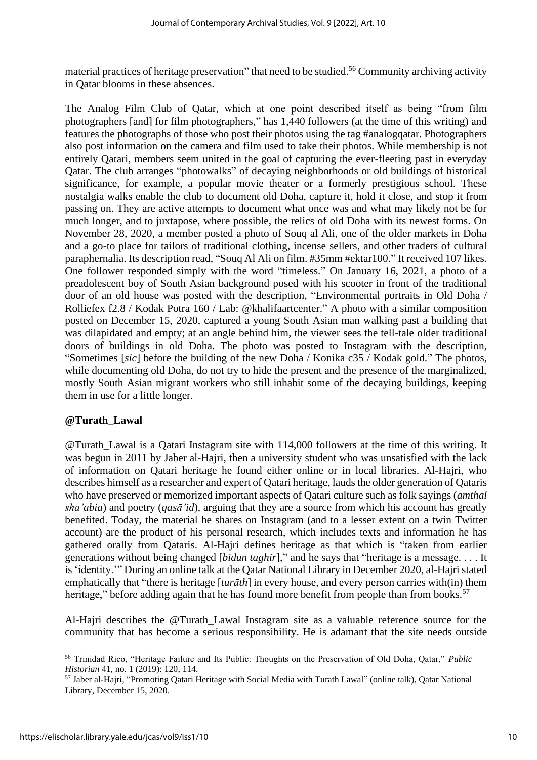material practices of heritage preservation" that need to be studied.<sup>56</sup> Community archiving activity in Qatar blooms in these absences.

The Analog Film Club of Qatar, which at one point described itself as being "from film photographers [and] for film photographers," has 1,440 followers (at the time of this writing) and features the photographs of those who post their photos using the tag #analogqatar. Photographers also post information on the camera and film used to take their photos. While membership is not entirely Qatari, members seem united in the goal of capturing the ever-fleeting past in everyday Qatar. The club arranges "photowalks" of decaying neighborhoods or old buildings of historical significance, for example, a popular movie theater or a formerly prestigious school. These nostalgia walks enable the club to document old Doha, capture it, hold it close, and stop it from passing on. They are active attempts to document what once was and what may likely not be for much longer, and to juxtapose, where possible, the relics of old Doha with its newest forms. On November 28, 2020, a member posted a photo of Souq al Ali, one of the older markets in Doha and a go-to place for tailors of traditional clothing, incense sellers, and other traders of cultural paraphernalia. Its description read, "Souq Al Ali on film. #35mm #ektar100." It received 107 likes. One follower responded simply with the word "timeless." On January 16, 2021, a photo of a preadolescent boy of South Asian background posed with his scooter in front of the traditional door of an old house was posted with the description, "Environmental portraits in Old Doha / Rolliefex f2.8 / Kodak Potra 160 / Lab: @khalifaartcenter." A photo with a similar composition posted on December 15, 2020, captured a young South Asian man walking past a building that was dilapidated and empty; at an angle behind him, the viewer sees the tell-tale older traditional doors of buildings in old Doha. The photo was posted to Instagram with the description, "Sometimes [*sic*] before the building of the new Doha / Konika c35 / Kodak gold." The photos, while documenting old Doha, do not try to hide the present and the presence of the marginalized, mostly South Asian migrant workers who still inhabit some of the decaying buildings, keeping them in use for a little longer.

#### **@Turath\_Lawal**

@Turath\_Lawal is a Qatari Instagram site with 114,000 followers at the time of this writing. It was begun in 2011 by Jaber al-Hajri, then a university student who was unsatisfied with the lack of information on Qatari heritage he found either online or in local libraries. Al-Hajri, who describes himself as a researcher and expert of Qatari heritage, lauds the older generation of Qataris who have preserved or memorized important aspects of Qatari culture such as folk sayings (*amthal sha'abia*) and poetry (*qasā'id*), arguing that they are a source from which his account has greatly benefited. Today, the material he shares on Instagram (and to a lesser extent on a twin Twitter account) are the product of his personal research, which includes texts and information he has gathered orally from Qataris. Al-Hajri defines heritage as that which is "taken from earlier generations without being changed [*bidun taghir*]," and he says that "heritage is a message. . . . It is 'identity.'" During an online talk at the Qatar National Library in December 2020, al-Hajri stated emphatically that "there is heritage [*turāth*] in every house, and every person carries with(in) them heritage," before adding again that he has found more benefit from people than from books.<sup>57</sup>

Al-Hajri describes the @Turath Lawal Instagram site as a valuable reference source for the community that has become a serious responsibility. He is adamant that the site needs outside

<sup>56</sup> Trinidad Rico, "Heritage Failure and Its Public: Thoughts on the Preservation of Old Doha, Qatar," *Public Historian* 41, no. 1 (2019): 120, 114.

<sup>57</sup> Jaber al-Hajri, "Promoting Qatari Heritage with Social Media with Turath Lawal" (online talk), Qatar National Library, December 15, 2020.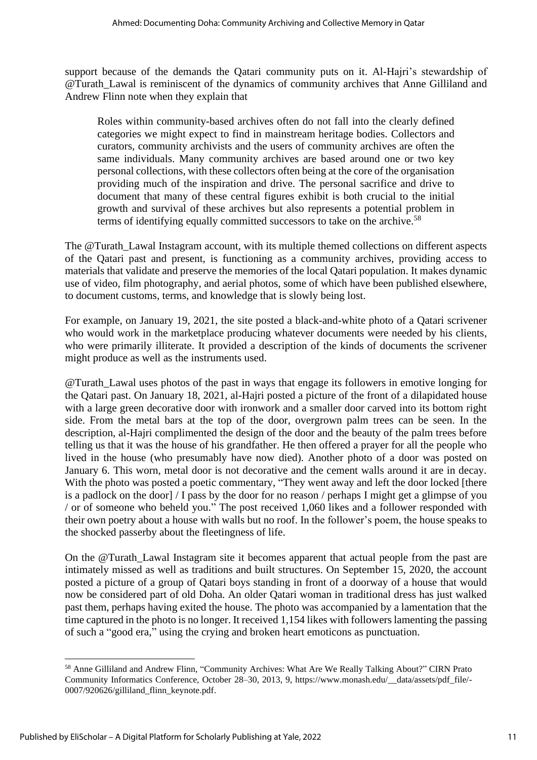support because of the demands the Qatari community puts on it. Al-Hajri's stewardship of @Turath\_Lawal is reminiscent of the dynamics of community archives that Anne Gilliland and Andrew Flinn note when they explain that

Roles within community-based archives often do not fall into the clearly defined categories we might expect to find in mainstream heritage bodies. Collectors and curators, community archivists and the users of community archives are often the same individuals. Many community archives are based around one or two key personal collections, with these collectors often being at the core of the organisation providing much of the inspiration and drive. The personal sacrifice and drive to document that many of these central figures exhibit is both crucial to the initial growth and survival of these archives but also represents a potential problem in terms of identifying equally committed successors to take on the archive.<sup>58</sup>

The @Turath\_Lawal Instagram account, with its multiple themed collections on different aspects of the Qatari past and present, is functioning as a community archives, providing access to materials that validate and preserve the memories of the local Qatari population. It makes dynamic use of video, film photography, and aerial photos, some of which have been published elsewhere, to document customs, terms, and knowledge that is slowly being lost.

For example, on January 19, 2021, the site posted a black-and-white photo of a Qatari scrivener who would work in the marketplace producing whatever documents were needed by his clients, who were primarily illiterate. It provided a description of the kinds of documents the scrivener might produce as well as the instruments used.

@Turath\_Lawal uses photos of the past in ways that engage its followers in emotive longing for the Qatari past. On January 18, 2021, al-Hajri posted a picture of the front of a dilapidated house with a large green decorative door with ironwork and a smaller door carved into its bottom right side. From the metal bars at the top of the door, overgrown palm trees can be seen. In the description, al-Hajri complimented the design of the door and the beauty of the palm trees before telling us that it was the house of his grandfather. He then offered a prayer for all the people who lived in the house (who presumably have now died). Another photo of a door was posted on January 6. This worn, metal door is not decorative and the cement walls around it are in decay. With the photo was posted a poetic commentary, "They went away and left the door locked [there is a padlock on the door] / I pass by the door for no reason / perhaps I might get a glimpse of you / or of someone who beheld you." The post received 1,060 likes and a follower responded with their own poetry about a house with walls but no roof. In the follower's poem, the house speaks to the shocked passerby about the fleetingness of life.

On the @Turath\_Lawal Instagram site it becomes apparent that actual people from the past are intimately missed as well as traditions and built structures. On September 15, 2020, the account posted a picture of a group of Qatari boys standing in front of a doorway of a house that would now be considered part of old Doha. An older Qatari woman in traditional dress has just walked past them, perhaps having exited the house. The photo was accompanied by a lamentation that the time captured in the photo is no longer. It received 1,154 likes with followers lamenting the passing of such a "good era," using the crying and broken heart emoticons as punctuation.

<sup>58</sup> Anne Gilliland and Andrew Flinn, "Community Archives: What Are We Really Talking About?" CIRN Prato Community Informatics Conference, October 28–30, 2013, 9, https://www.monash.edu/\_\_data/assets/pdf\_file/- 0007/920626/gilliland\_flinn\_keynote.pdf.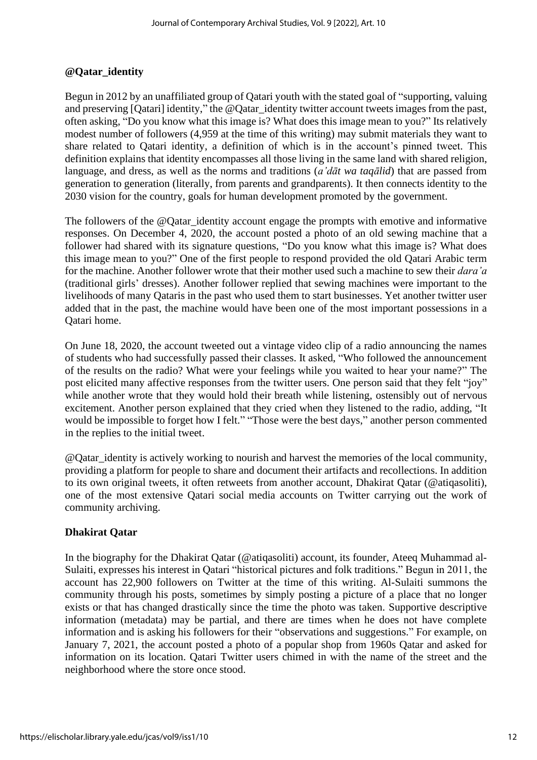# **@Qatar\_identity**

Begun in 2012 by an unaffiliated group of Qatari youth with the stated goal of "supporting, valuing and preserving [Qatari] identity," the @Qatar\_identity twitter account tweets images from the past, often asking, "Do you know what this image is? What does this image mean to you?" Its relatively modest number of followers (4,959 at the time of this writing) may submit materials they want to share related to Qatari identity, a definition of which is in the account's pinned tweet. This definition explains that identity encompasses all those living in the same land with shared religion, language, and dress, as well as the norms and traditions (*a'dāt wa taqālid*) that are passed from generation to generation (literally, from parents and grandparents). It then connects identity to the 2030 vision for the country, goals for human development promoted by the government.

The followers of the @Qatar\_identity account engage the prompts with emotive and informative responses. On December 4, 2020, the account posted a photo of an old sewing machine that a follower had shared with its signature questions, "Do you know what this image is? What does this image mean to you?" One of the first people to respond provided the old Qatari Arabic term for the machine. Another follower wrote that their mother used such a machine to sew their *dara'a* (traditional girls' dresses). Another follower replied that sewing machines were important to the livelihoods of many Qataris in the past who used them to start businesses. Yet another twitter user added that in the past, the machine would have been one of the most important possessions in a Qatari home.

On June 18, 2020, the account tweeted out a vintage video clip of a radio announcing the names of students who had successfully passed their classes. It asked, "Who followed the announcement of the results on the radio? What were your feelings while you waited to hear your name?" The post elicited many affective responses from the twitter users. One person said that they felt "joy" while another wrote that they would hold their breath while listening, ostensibly out of nervous excitement. Another person explained that they cried when they listened to the radio, adding, "It would be impossible to forget how I felt." "Those were the best days," another person commented in the replies to the initial tweet.

@Qatar\_identity is actively working to nourish and harvest the memories of the local community, providing a platform for people to share and document their artifacts and recollections. In addition to its own original tweets, it often retweets from another account, Dhakirat Qatar (@atiqasoliti), one of the most extensive Qatari social media accounts on Twitter carrying out the work of community archiving.

# **Dhakirat Qatar**

In the biography for the Dhakirat Qatar (@atiqasoliti) account, its founder, Ateeq Muhammad al-Sulaiti, expresses his interest in Qatari "historical pictures and folk traditions." Begun in 2011, the account has 22,900 followers on Twitter at the time of this writing. Al-Sulaiti summons the community through his posts, sometimes by simply posting a picture of a place that no longer exists or that has changed drastically since the time the photo was taken. Supportive descriptive information (metadata) may be partial, and there are times when he does not have complete information and is asking his followers for their "observations and suggestions." For example, on January 7, 2021, the account posted a photo of a popular shop from 1960s Qatar and asked for information on its location. Qatari Twitter users chimed in with the name of the street and the neighborhood where the store once stood.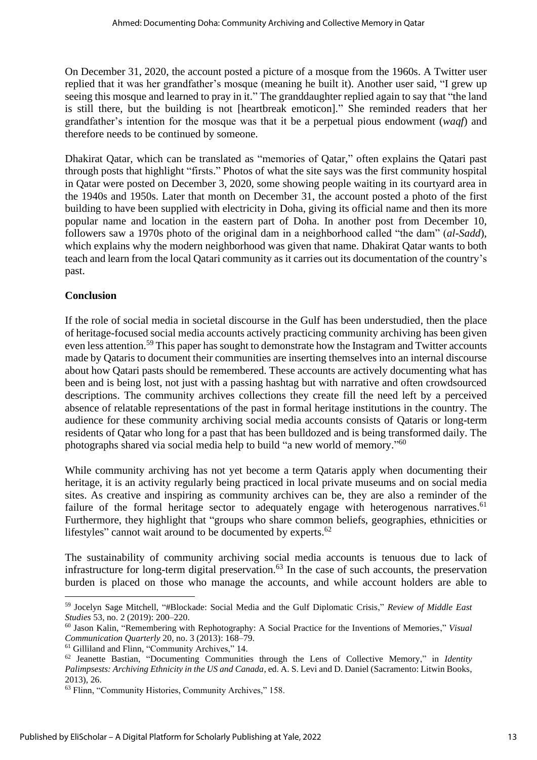On December 31, 2020, the account posted a picture of a mosque from the 1960s. A Twitter user replied that it was her grandfather's mosque (meaning he built it). Another user said, "I grew up seeing this mosque and learned to pray in it." The granddaughter replied again to say that "the land is still there, but the building is not [heartbreak emoticon]." She reminded readers that her grandfather's intention for the mosque was that it be a perpetual pious endowment (*waqf*) and therefore needs to be continued by someone.

Dhakirat Qatar, which can be translated as "memories of Qatar," often explains the Qatari past through posts that highlight "firsts." Photos of what the site says was the first community hospital in Qatar were posted on December 3, 2020, some showing people waiting in its courtyard area in the 1940s and 1950s. Later that month on December 31, the account posted a photo of the first building to have been supplied with electricity in Doha, giving its official name and then its more popular name and location in the eastern part of Doha. In another post from December 10, followers saw a 1970s photo of the original dam in a neighborhood called "the dam" (*al-Sadd*), which explains why the modern neighborhood was given that name. Dhakirat Qatar wants to both teach and learn from the local Qatari community as it carries out its documentation of the country's past.

## **Conclusion**

If the role of social media in societal discourse in the Gulf has been understudied, then the place of heritage-focused social media accounts actively practicing community archiving has been given even less attention.<sup>59</sup> This paper has sought to demonstrate how the Instagram and Twitter accounts made by Qataris to document their communities are inserting themselves into an internal discourse about how Qatari pasts should be remembered. These accounts are actively documenting what has been and is being lost, not just with a passing hashtag but with narrative and often crowdsourced descriptions. The community archives collections they create fill the need left by a perceived absence of relatable representations of the past in formal heritage institutions in the country. The audience for these community archiving social media accounts consists of Qataris or long-term residents of Qatar who long for a past that has been bulldozed and is being transformed daily. The photographs shared via social media help to build "a new world of memory."<sup>60</sup>

While community archiving has not yet become a term Qataris apply when documenting their heritage, it is an activity regularly being practiced in local private museums and on social media sites. As creative and inspiring as community archives can be, they are also a reminder of the failure of the formal heritage sector to adequately engage with heterogenous narratives.<sup>61</sup> Furthermore, they highlight that "groups who share common beliefs, geographies, ethnicities or lifestyles" cannot wait around to be documented by experts.<sup>62</sup>

The sustainability of community archiving social media accounts is tenuous due to lack of infrastructure for long-term digital preservation.<sup>63</sup> In the case of such accounts, the preservation burden is placed on those who manage the accounts, and while account holders are able to

<sup>59</sup> Jocelyn Sage Mitchell, "#Blockade: Social Media and the Gulf Diplomatic Crisis," *Review of Middle East Studies* 53, no. 2 (2019): 200–220.

<sup>60</sup> Jason Kalin, "Remembering with Rephotography: A Social Practice for the Inventions of Memories," *Visual Communication Quarterly* 20, no. 3 (2013): 168–79.

<sup>61</sup> Gilliland and Flinn, "Community Archives," 14.

<sup>62</sup> Jeanette Bastian, "Documenting Communities through the Lens of Collective Memory," in *Identity Palimpsests: Archiving Ethnicity in the US and Canada*, ed. A. S. Levi and D. Daniel (Sacramento: Litwin Books, 2013), 26.

<sup>63</sup> Flinn, "Community Histories, Community Archives," 158.